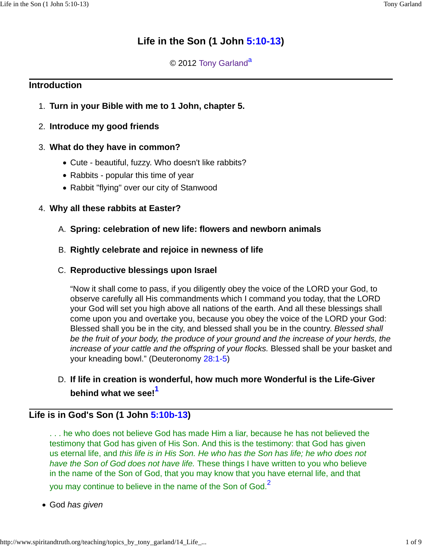# **Life in the Son (1 John 5:10-13)**

## © 2012 Tony Garland<sup>a</sup>

## **Introduction**

1. **Turn in your Bible with me to 1 John, chapter 5.**

## 2. **Introduce my good friends**

## **What do they have in common?** 3.

- Cute beautiful, fuzzy. Who doesn't like rabbits?
- Rabbits popular this time of year
- Rabbit "flying" over our city of Stanwood

## 4. **Why all these rabbits at Easter?**

## A. **Spring: celebration of new life: flowers and newborn animals**

## B. **Rightly celebrate and rejoice in newness of life**

## **Reproductive blessings upon Israel** C.

"Now it shall come to pass, if you diligently obey the voice of the LORD your God, to observe carefully all His commandments which I command you today, that the LORD your God will set you high above all nations of the earth. And all these blessings shall come upon you and overtake you, because you obey the voice of the LORD your God: Blessed shall you be in the city, and blessed shall you be in the country. Blessed shall be the fruit of your body, the produce of your ground and the increase of your herds, the increase of your cattle and the offspring of your flocks. Blessed shall be your basket and your kneading bowl." (Deuteronomy 28:1-5)

# **If life in creation is wonderful, how much more Wonderful is the Life-Giver** D. **behind what we see!<sup>1</sup>**

# **Life is in God's Son (1 John 5:10b-13)**

. . . he who does not believe God has made Him a liar, because he has not believed the testimony that God has given of His Son. And this is the testimony: that God has given us eternal life, and this life is in His Son. He who has the Son has life; he who does not have the Son of God does not have life. These things I have written to you who believe in the name of the Son of God, that you may know that you have eternal life, and that you may continue to believe in the name of the Son of God.<sup>2</sup>

• God has given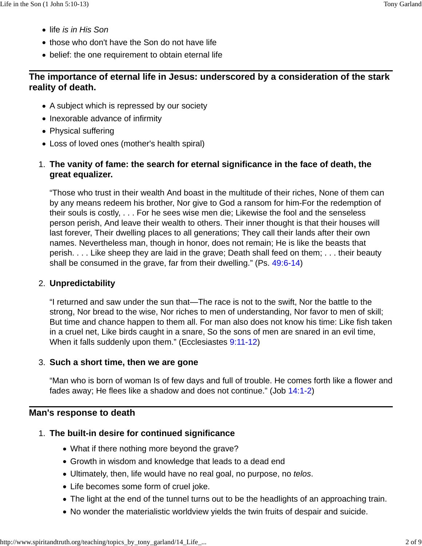- life is in His Son
- those who don't have the Son do not have life
- belief: the one requirement to obtain eternal life

# **The importance of eternal life in Jesus: underscored by a consideration of the stark reality of death.**

- A subject which is repressed by our society
- Inexorable advance of infirmity
- Physical suffering
- Loss of loved ones (mother's health spiral)

## **The vanity of fame: the search for eternal significance in the face of death, the** 1. **great equalizer.**

"Those who trust in their wealth And boast in the multitude of their riches, None of them can by any means redeem his brother, Nor give to God a ransom for him-For the redemption of their souls is costly, . . . For he sees wise men die; Likewise the fool and the senseless person perish, And leave their wealth to others. Their inner thought is that their houses will last forever, Their dwelling places to all generations; They call their lands after their own names. Nevertheless man, though in honor, does not remain; He is like the beasts that perish. . . . Like sheep they are laid in the grave; Death shall feed on them; . . . their beauty shall be consumed in the grave, far from their dwelling." (Ps. 49:6-14)

### **Unpredictability** 2.

"I returned and saw under the sun that—The race is not to the swift, Nor the battle to the strong, Nor bread to the wise, Nor riches to men of understanding, Nor favor to men of skill; But time and chance happen to them all. For man also does not know his time: Like fish taken in a cruel net, Like birds caught in a snare, So the sons of men are snared in an evil time, When it falls suddenly upon them." (Ecclesiastes 9:11-12)

## **Such a short time, then we are gone** 3.

"Man who is born of woman Is of few days and full of trouble. He comes forth like a flower and fades away; He flees like a shadow and does not continue." (Job 14:1-2)

### **Man's response to death**

## **The built-in desire for continued significance** 1.

- What if there nothing more beyond the grave?
- Growth in wisdom and knowledge that leads to a dead end
- Ultimately, then, life would have no real goal, no purpose, no telos.
- Life becomes some form of cruel joke.
- The light at the end of the tunnel turns out to be the headlights of an approaching train.
- No wonder the materialistic worldview yields the twin fruits of despair and suicide.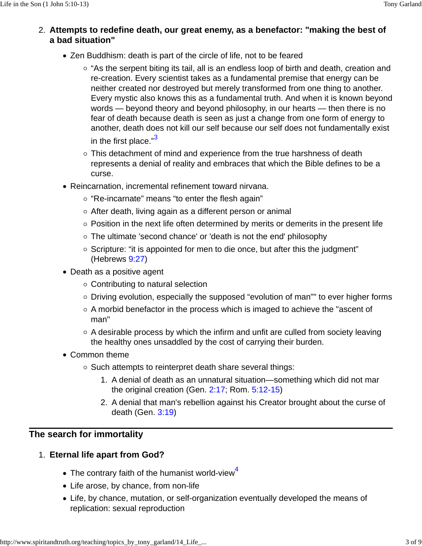- **Attempts to redefine death, our great enemy, as a benefactor: "making the best of** 2. **a bad situation"**
	- Zen Buddhism: death is part of the circle of life, not to be feared
		- $\circ$  "As the serpent biting its tail, all is an endless loop of birth and death, creation and re-creation. Every scientist takes as a fundamental premise that energy can be neither created nor destroyed but merely transformed from one thing to another. Every mystic also knows this as a fundamental truth. And when it is known beyond words — beyond theory and beyond philosophy, in our hearts — then there is no fear of death because death is seen as just a change from one form of energy to another, death does not kill our self because our self does not fundamentally exist in the first place. $"3$
		- $\circ$  This detachment of mind and experience from the true harshness of death represents a denial of reality and embraces that which the Bible defines to be a curse.
	- Reincarnation, incremental refinement toward nirvana.
		- $\circ$  "Re-incarnate" means "to enter the flesh again"
		- $\circ$  After death, living again as a different person or animal
		- $\circ$  Position in the next life often determined by merits or demerits in the present life
		- The ultimate 'second chance' or 'death is not the end' philosophy
		- $\circ$  Scripture: "it is appointed for men to die once, but after this the judgment" (Hebrews 9:27)
	- Death as a positive agent
		- Contributing to natural selection
		- Driving evolution, especially the supposed "evolution of man"" to ever higher forms
		- $\circ$  A morbid benefactor in the process which is imaged to achieve the "ascent of man"
		- $\circ$  A desirable process by which the infirm and unfit are culled from society leaving the healthy ones unsaddled by the cost of carrying their burden.
	- Common theme
		- Such attempts to reinterpret death share several things:
			- A denial of death as an unnatural situation—something which did not mar 1. the original creation (Gen. 2:17; Rom. 5:12-15)
			- 2. A denial that man's rebellion against his Creator brought about the curse of death (Gen. 3:19)

## **The search for immortality**

## **Eternal life apart from God?** 1.

- $\bullet$  The contrary faith of the humanist world-view<sup>4</sup>
- Life arose, by chance, from non-life
- Life, by chance, mutation, or self-organization eventually developed the means of replication: sexual reproduction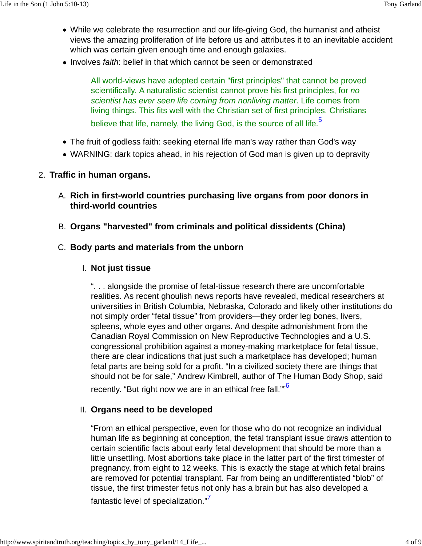- While we celebrate the resurrection and our life-giving God, the humanist and atheist views the amazing proliferation of life before us and attributes it to an inevitable accident which was certain given enough time and enough galaxies.
- Involves faith: belief in that which cannot be seen or demonstrated

All world-views have adopted certain "first principles" that cannot be proved scientifically. A naturalistic scientist cannot prove his first principles, for no scientist has ever seen life coming from nonliving matter. Life comes from living things. This fits well with the Christian set of first principles. Christians believe that life, namely, the living God, is the source of all life.<sup>5</sup>

- The fruit of godless faith: seeking eternal life man's way rather than God's way
- WARNING: dark topics ahead, in his rejection of God man is given up to depravity

### 2. **Traffic in human organs.**

- **Rich in first-world countries purchasing live organs from poor donors in** A. **third-world countries**
- B. **Organs "harvested" from criminals and political dissidents (China)**

### C. **Body parts and materials from the unborn**

### **Not just tissue** I.

". . . alongside the promise of fetal-tissue research there are uncomfortable realities. As recent ghoulish news reports have revealed, medical researchers at universities in British Columbia, Nebraska, Colorado and likely other institutions do not simply order "fetal tissue" from providers—they order leg bones, livers, spleens, whole eyes and other organs. And despite admonishment from the Canadian Royal Commission on New Reproductive Technologies and a U.S. congressional prohibition against a money-making marketplace for fetal tissue, there are clear indications that just such a marketplace has developed; human fetal parts are being sold for a profit. "In a civilized society there are things that should not be for sale," Andrew Kimbrell, author of The Human Body Shop, said

recently. "But right now we are in an ethical free fall.""<sup>6</sup>

#### **Organs need to be developed** II.

"From an ethical perspective, even for those who do not recognize an individual human life as beginning at conception, the fetal transplant issue draws attention to certain scientific facts about early fetal development that should be more than a little unsettling. Most abortions take place in the latter part of the first trimester of pregnancy, from eight to 12 weeks. This is exactly the stage at which fetal brains are removed for potential transplant. Far from being an undifferentiated "blob" of tissue, the first trimester fetus not only has a brain but has also developed a fantastic level of specialization."<sup>7</sup>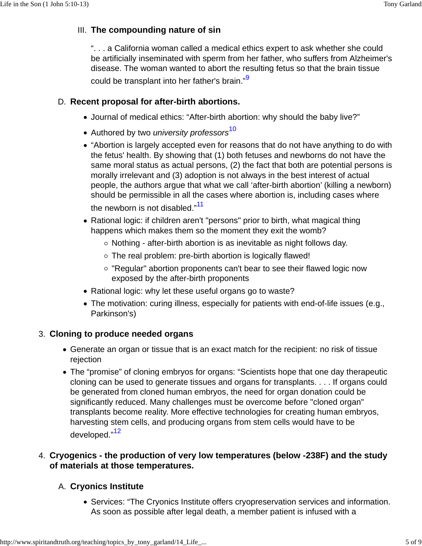## **The compounding nature of sin** III.

". . . a California woman called a medical ethics expert to ask whether she could be artificially inseminated with sperm from her father, who suffers from Alzheimer's disease. The woman wanted to abort the resulting fetus so that the brain tissue could be transplant into her father's brain."<sup>9</sup>

### **Recent proposal for after-birth abortions.** D.

- Journal of medical ethics: "After-birth abortion: why should the baby live?"
- Authored by two *university professors*<sup>10</sup>
- "Abortion is largely accepted even for reasons that do not have anything to do with the fetus' health. By showing that (1) both fetuses and newborns do not have the same moral status as actual persons, (2) the fact that both are potential persons is morally irrelevant and (3) adoption is not always in the best interest of actual people, the authors argue that what we call 'after-birth abortion' (killing a newborn) should be permissible in all the cases where abortion is, including cases where the newborn is not disabled."<sup>11</sup>
- Rational logic: if children aren't "persons" prior to birth, what magical thing happens which makes them so the moment they exit the womb?
	- $\circ$  Nothing after-birth abortion is as inevitable as night follows day.
	- The real problem: pre-birth abortion is logically flawed!
	- "Regular" abortion proponents can't bear to see their flawed logic now exposed by the after-birth proponents
- Rational logic: why let these useful organs go to waste?
- The motivation: curing illness, especially for patients with end-of-life issues (e.g., Parkinson's)

## **Cloning to produce needed organs** 3.

- Generate an organ or tissue that is an exact match for the recipient: no risk of tissue rejection
- The "promise" of cloning embryos for organs: "Scientists hope that one day therapeutic cloning can be used to generate tissues and organs for transplants. . . . If organs could be generated from cloned human embryos, the need for organ donation could be significantly reduced. Many challenges must be overcome before "cloned organ" transplants become reality. More effective technologies for creating human embryos, harvesting stem cells, and producing organs from stem cells would have to be developed."<sup>12</sup>

## **Cryogenics - the production of very low temperatures (below -238F) and the study** 4. **of materials at those temperatures.**

## **Cryonics Institute** A.

• Services: "The Cryonics Institute offers cryopreservation services and information. As soon as possible after legal death, a member patient is infused with a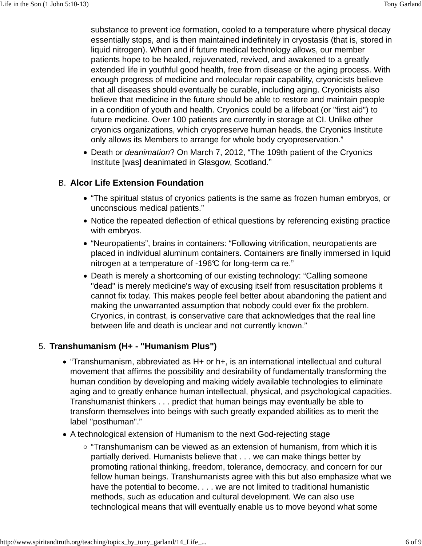substance to prevent ice formation, cooled to a temperature where physical decay essentially stops, and is then maintained indefinitely in cryostasis (that is, stored in liquid nitrogen). When and if future medical technology allows, our member patients hope to be healed, rejuvenated, revived, and awakened to a greatly extended life in youthful good health, free from disease or the aging process. With enough progress of medicine and molecular repair capability, cryonicists believe that all diseases should eventually be curable, including aging. Cryonicists also believe that medicine in the future should be able to restore and maintain people in a condition of youth and health. Cryonics could be a lifeboat (or "first aid") to future medicine. Over 100 patients are currently in storage at CI. Unlike other cryonics organizations, which cryopreserve human heads, the Cryonics Institute only allows its Members to arrange for whole body cryopreservation."

Death or deanimation? On March 7, 2012, "The 109th patient of the Cryonics Institute [was] deanimated in Glasgow, Scotland."

## **Alcor Life Extension Foundation** B.

- "The spiritual status of cryonics patients is the same as frozen human embryos, or unconscious medical patients."
- Notice the repeated deflection of ethical questions by referencing existing practice with embryos.
- "Neuropatients", brains in containers: "Following vitrification, neuropatients are placed in individual aluminum containers. Containers are finally immersed in liquid nitrogen at a temperature of -196 $C$  for long-term ca re."
- Death is merely a shortcoming of our existing technology: "Calling someone "dead" is merely medicine's way of excusing itself from resuscitation problems it cannot fix today. This makes people feel better about abandoning the patient and making the unwarranted assumption that nobody could ever fix the problem. Cryonics, in contrast, is conservative care that acknowledges that the real line between life and death is unclear and not currently known."

### **Transhumanism (H+ - "Humanism Plus")** 5.

- "Transhumanism, abbreviated as H+ or h+, is an international intellectual and cultural movement that affirms the possibility and desirability of fundamentally transforming the human condition by developing and making widely available technologies to eliminate aging and to greatly enhance human intellectual, physical, and psychological capacities. Transhumanist thinkers . . . predict that human beings may eventually be able to transform themselves into beings with such greatly expanded abilities as to merit the label "posthuman"."
- A technological extension of Humanism to the next God-rejecting stage
	- $\circ$  "Transhumanism can be viewed as an extension of humanism, from which it is partially derived. Humanists believe that . . . we can make things better by promoting rational thinking, freedom, tolerance, democracy, and concern for our fellow human beings. Transhumanists agree with this but also emphasize what we have the potential to become. . . . we are not limited to traditional humanistic methods, such as education and cultural development. We can also use technological means that will eventually enable us to move beyond what some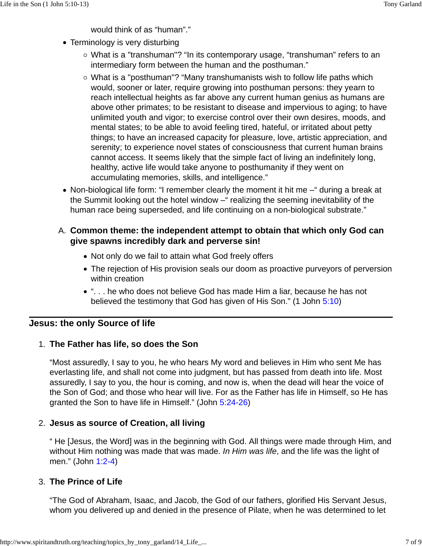would think of as "human"."

- Terminology is very disturbing
	- What is a "transhuman"? "In its contemporary usage, "transhuman" refers to an intermediary form between the human and the posthuman."
	- What is a "posthuman"? "Many transhumanists wish to follow life paths which would, sooner or later, require growing into posthuman persons: they yearn to reach intellectual heights as far above any current human genius as humans are above other primates; to be resistant to disease and impervious to aging; to have unlimited youth and vigor; to exercise control over their own desires, moods, and mental states; to be able to avoid feeling tired, hateful, or irritated about petty things; to have an increased capacity for pleasure, love, artistic appreciation, and serenity; to experience novel states of consciousness that current human brains cannot access. It seems likely that the simple fact of living an indefinitely long, healthy, active life would take anyone to posthumanity if they went on accumulating memories, skills, and intelligence."
- Non-biological life form: "I remember clearly the moment it hit me –" during a break at the Summit looking out the hotel window – "realizing the seeming inevitability of the human race being superseded, and life continuing on a non-biological substrate."

## **Common theme: the independent attempt to obtain that which only God can** A. **give spawns incredibly dark and perverse sin!**

- Not only do we fail to attain what God freely offers
- The rejection of His provision seals our doom as proactive purveyors of perversion within creation
- ". . . he who does not believe God has made Him a liar, because he has not believed the testimony that God has given of His Son." (1 John 5:10)

## **Jesus: the only Source of life**

### **The Father has life, so does the Son** 1.

"Most assuredly, I say to you, he who hears My word and believes in Him who sent Me has everlasting life, and shall not come into judgment, but has passed from death into life. Most assuredly, I say to you, the hour is coming, and now is, when the dead will hear the voice of the Son of God; and those who hear will live. For as the Father has life in Himself, so He has granted the Son to have life in Himself." (John 5:24-26)

### **Jesus as source of Creation, all living** 2.

" He [Jesus, the Word] was in the beginning with God. All things were made through Him, and without Him nothing was made that was made. In Him was life, and the life was the light of men." (John 1:2-4)

## **The Prince of Life** 3.

"The God of Abraham, Isaac, and Jacob, the God of our fathers, glorified His Servant Jesus, whom you delivered up and denied in the presence of Pilate, when he was determined to let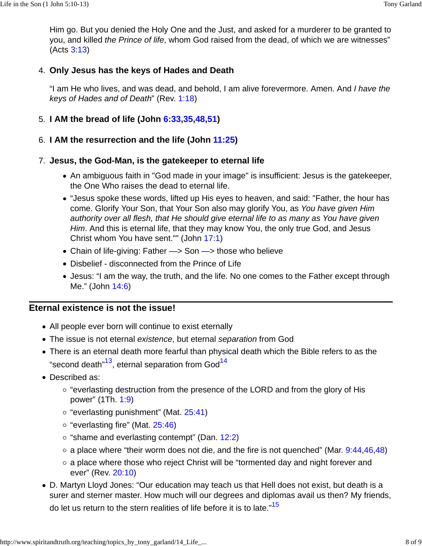Him go. But you denied the Holy One and the Just, and asked for a murderer to be granted to you, and killed the Prince of life, whom God raised from the dead, of which we are witnesses" (Acts 3:13)

### **Only Jesus has the keys of Hades and Death** 4.

"I am He who lives, and was dead, and behold, I am alive forevermore. Amen. And I have the keys of Hades and of Death" (Rev. 1:18)

## 5. **I AM the bread of life (John 6:33,35,48,51)**

### 6. **I AM the resurrection and the life (John 11:25)**

### **Jesus, the God-Man, is the gatekeeper to eternal life** 7.

- An ambiguous faith in "God made in your image" is insufficient: Jesus is the gatekeeper, the One Who raises the dead to eternal life.
- "Jesus spoke these words, lifted up His eyes to heaven, and said: "Father, the hour has come. Glorify Your Son, that Your Son also may glorify You, as You have given Him authority over all flesh, that He should give eternal life to as many as You have given Him. And this is eternal life, that they may know You, the only true God, and Jesus Christ whom You have sent."" (John 17:1)
- Chain of life-giving: Father -> Son -> those who believe
- Disbelief disconnected from the Prince of Life
- Jesus: "I am the way, the truth, and the life. No one comes to the Father except through Me." (John 14:6)

### **Eternal existence is not the issue!**

- All people ever born will continue to exist eternally
- The issue is not eternal existence, but eternal separation from God
- There is an eternal death more fearful than physical death which the Bible refers to as the "second death"<sup>13</sup>, eternal separation from God<sup>14</sup>
- Described as:
	- $\circ$  "everlasting destruction from the presence of the LORD and from the glory of His power" (1Th. 1:9)
	- $\circ$  "everlasting punishment" (Mat. 25:41)
	- $\circ$  "everlasting fire" (Mat. 25:46)
	- $\circ$  "shame and everlasting contempt" (Dan. 12:2)
	- $\circ$  a place where "their worm does not die, and the fire is not quenched" (Mar. 9:44,46,48)
	- a place where those who reject Christ will be "tormented day and night forever and ever" (Rev. 20:10)
- D. Martyn Lloyd Jones: "Our education may teach us that Hell does not exist, but death is a surer and sterner master. How much will our degrees and diplomas avail us then? My friends, do let us return to the stern realities of life before it is to late."<sup>15</sup>